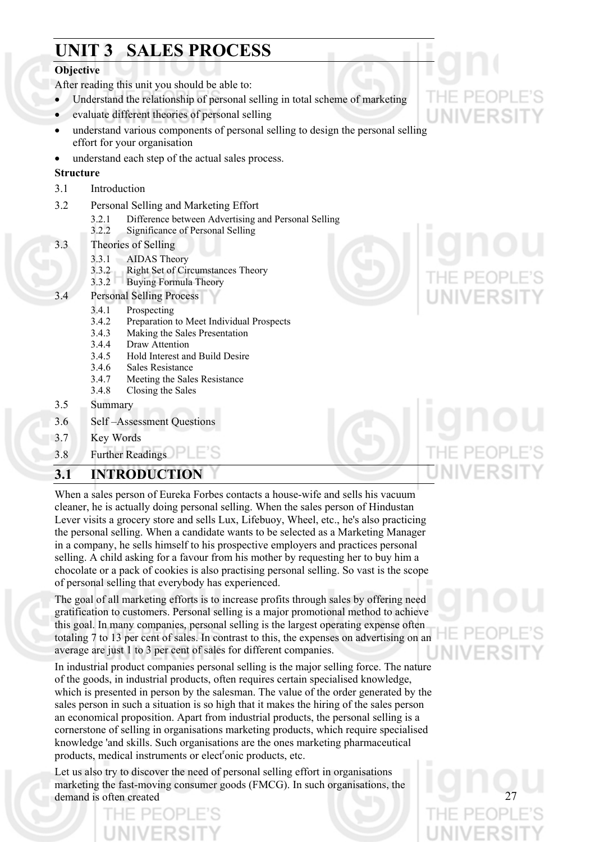# **UNIT 3 SALES PROCESS**

# **Objective**

After reading this unit you should be able to:

- Understand the relationship of personal selling in total scheme of marketing
- evaluate different theories of personal selling
- understand various components of personal selling to design the personal selling effort for your organisation
- understand each step of the actual sales process.

# **Structure**

- 3.1 Introduction
- 3.2 Personal Selling and Marketing Effort
	- 3.2.1 Difference between Advertising and Personal Selling
	- 3.2.2 Significance of Personal Selling
- 3.3 Theories of Selling
	- 3.3.1 AIDAS Theory
		- 3.3.2 Right Set of Circumstances Theory
		- 3.3.2 Buying Formula Theory
- 3.4 Personal Selling Process
	- 3.4.1 Prospecting
	- 3.4.2 Preparation to Meet Individual Prospects
	- 3.4.3 Making the Sales Presentation
	- 3.4.4 Draw Attention
	- 3.4.5 Hold Interest and Build Desire
	- 3.4.6 Sales Resistance
	- 3.4.7 Meeting the Sales Resistance
	- 3.4.8 Closing the Sales
- 3.5 Summary
- 3.6 Self –Assessment Questions
- 3.7 Key Words
- 3.8 Further Readings

# **3.1 INTRODUCTION**

When a sales person of Eureka Forbes contacts a house-wife and sells his vacuum cleaner, he is actually doing personal selling. When the sales person of Hindustan Lever visits a grocery store and sells Lux, Lifebuoy, Wheel, etc., he's also practicing the personal selling. When a candidate wants to be selected as a Marketing Manager in a company, he sells himself to his prospective employers and practices personal selling. A child asking for a favour from his mother by requesting her to buy him a chocolate or a pack of cookies is also practising personal selling. So vast is the scope of personal selling that everybody has experienced.

The goal of all marketing efforts is to increase profits through sales by offering need gratification to customers. Personal selling is a major promotional method to achieve this goal. In many companies, personal selling is the largest operating expense often totaling 7 to 13 per cent of sales. In contrast to this, the expenses on advertising on an average are just 1 to 3 per cent of sales for different companies.

In industrial product companies personal selling is the major selling force. The nature of the goods, in industrial products, often requires certain specialised knowledge, which is presented in person by the salesman. The value of the order generated by the sales person in such a situation is so high that it makes the hiring of the sales person an economical proposition. Apart from industrial products, the personal selling is a cornerstone of selling in organisations marketing products, which require specialised knowledge 'and skills. Such organisations are the ones marketing pharmaceutical products, medical instruments or elect<sup>r</sup>onic products, etc.

Let us also try to discover the need of personal selling effort in organisations marketing the fast-moving consumer goods (FMCG). In such organisations, the demand is often created



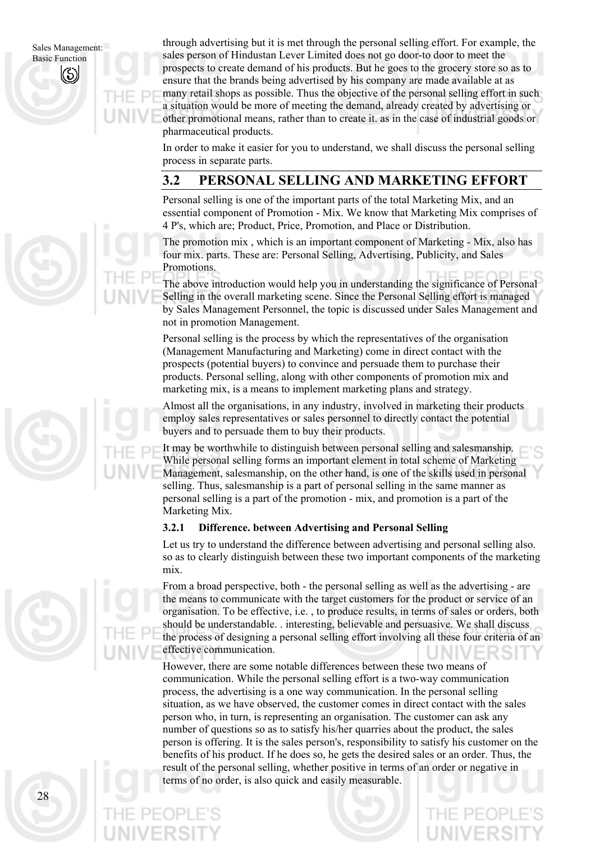through advertising but it is met through the personal selling effort. For example, the sales person of Hindustan Lever Limited does not go door-to door to meet the prospects to create demand of his products. But he goes to the grocery store so as to ensure that the brands being advertised by his company are made available at as many retail shops as possible. Thus the objective of the personal selling effort in such a situation would be more of meeting the demand, already created by advertising or other promotional means, rather than to create it. as in the case of industrial goods or pharmaceutical products.

In order to make it easier for you to understand, we shall discuss the personal selling process in separate parts.

# **3.2 PERSONAL SELLING AND MARKETING EFFORT**

Personal selling is one of the important parts of the total Marketing Mix, and an essential component of Promotion - Mix. We know that Marketing Mix comprises of 4 P's, which are; Product, Price, Promotion, and Place or Distribution.

The promotion mix , which is an important component of Marketing - Mix, also has four mix. parts. These are: Personal Selling, Advertising, Publicity, and Sales Promotions.

The above introduction would help you in understanding the significance of Personal Selling in the overall marketing scene. Since the Personal Selling effort is managed by Sales Management Personnel, the topic is discussed under Sales Management and not in promotion Management.

Personal selling is the process by which the representatives of the organisation (Management Manufacturing and Marketing) come in direct contact with the prospects (potential buyers) to convince and persuade them to purchase their products. Personal selling, along with other components of promotion mix and marketing mix, is a means to implement marketing plans and strategy.

Almost all the organisations, in any industry, involved in marketing their products employ sales representatives or sales personnel to directly contact the potential buyers and to persuade them to buy their products.

It may be worthwhile to distinguish between personal selling and salesmanship. While personal selling forms an important element in total scheme of Marketing Management, salesmanship, on the other hand, is one of the skills used in personal selling. Thus, salesmanship is a part of personal selling in the same manner as personal selling is a part of the promotion - mix, and promotion is a part of the Marketing Mix.

# **3.2.1 Difference. between Advertising and Personal Selling**

Let us try to understand the difference between advertising and personal selling also. so as to clearly distinguish between these two important components of the marketing mix.

From a broad perspective, both - the personal selling as well as the advertising - are the means to communicate with the target customers for the product or service of an organisation. To be effective, i.e. , to produce results, in terms of sales or orders, both should be understandable. . interesting, believable and persuasive. We shall discuss the process of designing a personal selling effort involving all these four criteria of an effective communication.

However, there are some notable differences between these two means of communication. While the personal selling effort is a two-way communication process, the advertising is a one way communication. In the personal selling situation, as we have observed, the customer comes in direct contact with the sales person who, in turn, is representing an organisation. The customer can ask any number of questions so as to satisfy his/her quarries about the product, the sales person is offering. It is the sales person's, responsibility to satisfy his customer on the benefits of his product. If he does so, he gets the desired sales or an order. Thus, the result of the personal selling, whether positive in terms of an order or negative in terms of no order, is also quick and easily measurable.

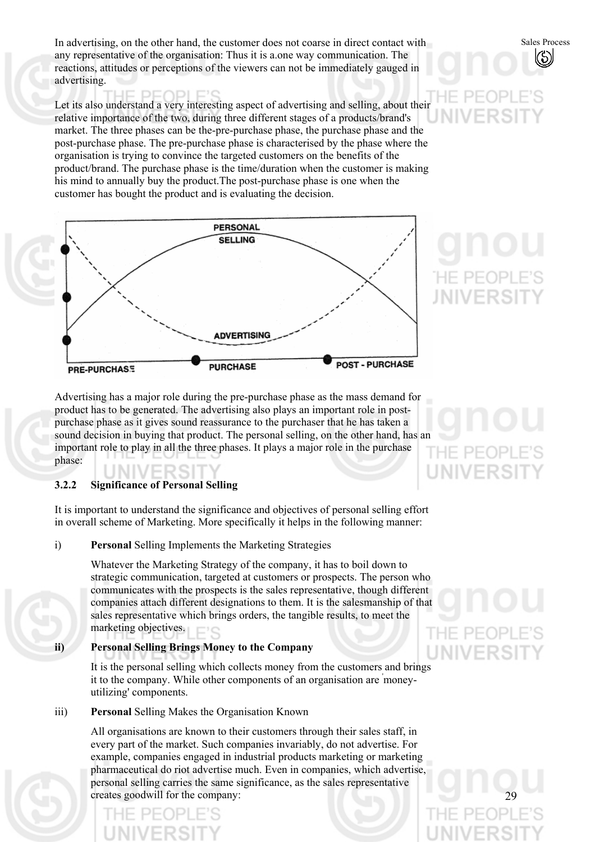In advertising, on the other hand, the customer does not coarse in direct contact with any representative of the organisation: Thus it is a.one way communication. The reactions, attitudes or perceptions of the viewers can not be immediately gauged in advertising.

Let its also understand a very interesting aspect of advertising and selling, about their relative importance of the two, during three different stages of a products/brand's market. The three phases can be the-pre-purchase phase, the purchase phase and the post-purchase phase. The pre-purchase phase is characterised by the phase where the organisation is trying to convince the targeted customers on the benefits of the product/brand. The purchase phase is the time/duration when the customer is making his mind to annually buy the product.The post-purchase phase is one when the customer has bought the product and is evaluating the decision.



Advertising has a major role during the pre-purchase phase as the mass demand for product has to be generated. The advertising also plays an important role in postpurchase phase as it gives sound reassurance to the purchaser that he has taken a sound decision in buying that product. The personal selling, on the other hand, has an important role to play in all the three phases. It plays a major role in the purchase phase:

# **3.2.2 Significance of Personal Selling**

It is important to understand the significance and objectives of personal selling effort in overall scheme of Marketing. More specifically it helps in the following manner:

i) **Personal** Selling Implements the Marketing Strategies

Whatever the Marketing Strategy of the company, it has to boil down to strategic communication, targeted at customers or prospects. The person who communicates with the prospects is the sales representative, though different companies attach different designations to them. It is the salesmanship of that sales representative which brings orders, the tangible results, to meet the marketing objectives.

# **ii) Personal Selling Brings Money to the Company**

It is the personal selling which collects money from the customers and brings it to the company. While other components of an organisation are ' moneyutilizing' components.

# iii) **Personal** Selling Makes the Organisation Known

All organisations are known to their customers through their sales staff, in every part of the market. Such companies invariably, do not advertise. For example, companies engaged in industrial products marketing or marketing pharmaceutical do riot advertise much. Even in companies, which advertise, personal selling carries the same significance, as the sales representative creates goodwill for the company:

# THE PEOPL **UNIVERSIT**

Sales Process

 $(\mathbb{S})$ 

# THE PEOP

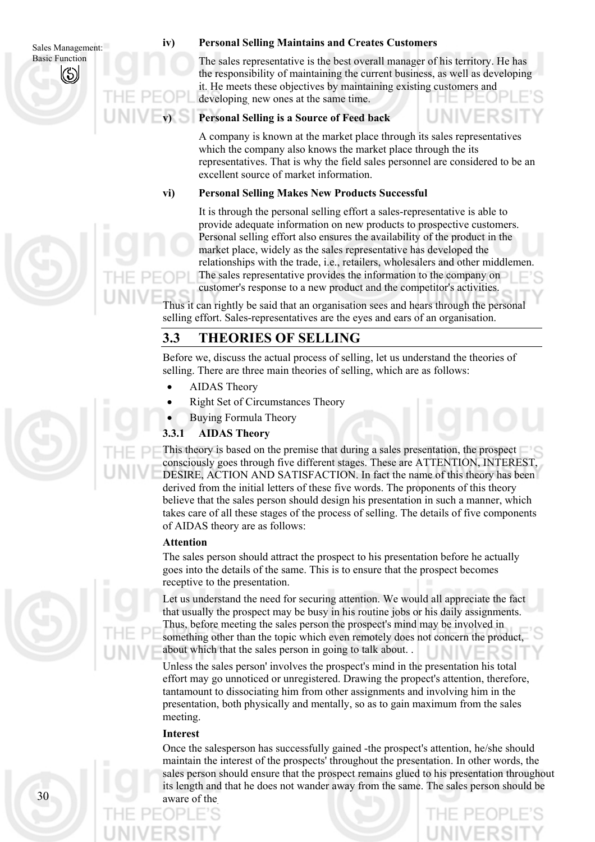Sales Management:

# **iv) Personal Selling Maintains and Creates Customers**

Basic Function The sales representative is the best overall manager of his territory. He has the responsibility of maintaining the current business, as well as developing it. He meets these objectives by maintaining existing customers and developing, new ones at the same time.

# **v) Personal Selling is a Source of Feed back**

A company is known at the market place through its sales representatives which the company also knows the market place through the its representatives. That is why the field sales personnel are considered to be an excellent source of market information.

# **vi) Personal Selling Makes New Products Successful**

It is through the personal selling effort a sales-representative is able to provide adequate information on new products to prospective customers. Personal selling effort also ensures the availability of the product in the market place, widely as the sales representative has developed the relationships with the trade, i.e., retailers, wholesalers and other middlemen. The sales representative provides the information to the company on customer's response to a new product and the competitor's activities.

Thus it can rightly be said that an organisation sees and hears through the personal selling effort. Sales-representatives are the eyes and ears of an organisation.

# **3.3 THEORIES OF SELLING**

Before we, discuss the actual process of selling, let us understand the theories of selling. There are three main theories of selling, which are as follows:

- AIDAS Theory
- Right Set of Circumstances Theory
- Buying Formula Theory

# **3.3.1 AIDAS Theory**

This theory is based on the premise that during a sales presentation, the prospect  $\Box$ consciously goes through five different stages. These are ATTENTION, INTEREST, DESIRE, ACTION AND SATISFACTION. In fact the name of this theory has been derived from the initial letters of these five words. The proponents of this theory believe that the sales person should design his presentation in such a manner, which takes care of all these stages of the process of selling. The details of five components of AIDAS theory are as follows:

# **Attention**

The sales person should attract the prospect to his presentation before he actually goes into the details of the same. This is to ensure that the prospect becomes receptive to the presentation.

Let us understand the need for securing attention. We would all appreciate the fact that usually the prospect may be busy in his routine jobs or his daily assignments. Thus, before meeting the sales person the prospect's mind may be involved in something other than the topic which even remotely does not concern the product, about which that the sales person in going to talk about. .

Unless the sales person' involves the prospect's mind in the presentation his total effort may go unnoticed or unregistered. Drawing the propect's attention, therefore, tantamount to dissociating him from other assignments and involving him in the presentation, both physically and mentally, so as to gain maximum from the sales meeting.

# **Interest**

Once the salesperson has successfully gained -the prospect's attention, he/she should maintain the interest of the prospects' throughout the presentation. In other words, the sales person should ensure that the prospect remains glued to his presentation throughout its length and that he does not wander away from the same. The sales person should be aware of the.



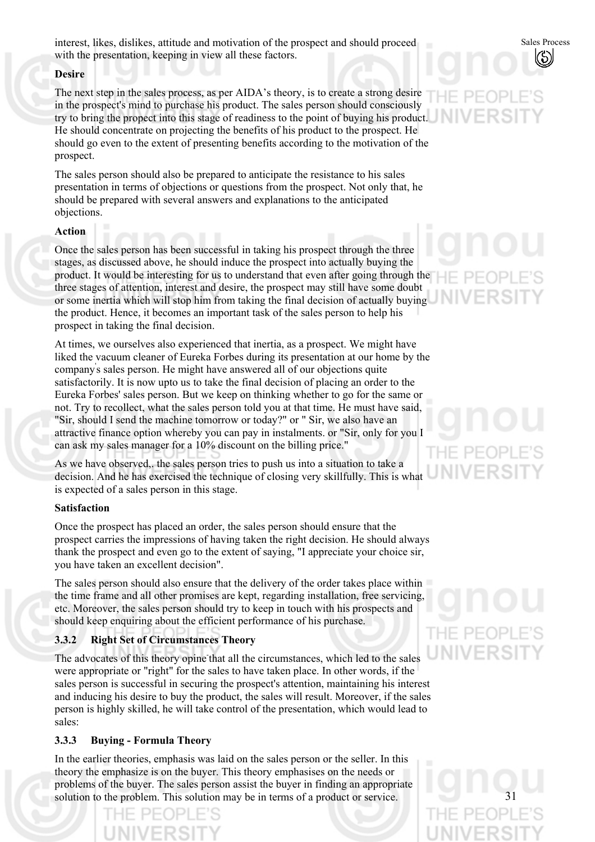interest, likes, dislikes, attitude and motivation of the prospect and should proceed with the presentation, keeping in view all these factors.

# **Desire**

The next step in the sales process, as per AIDA's theory, is to create a strong desire in the prospect's mind to purchase his product. The sales person should consciously try to bring the propect into this stage of readiness to the point of buying his product. He should concentrate on projecting the benefits of his product to the prospect. He should go even to the extent of presenting benefits according to the motivation of the prospect.

The sales person should also be prepared to anticipate the resistance to his sales presentation in terms of objections or questions from the prospect. Not only that, he should be prepared with several answers and explanations to the anticipated objections.

# **Action**

Once the sales person has been successful in taking his prospect through the three stages, as discussed above, he should induce the prospect into actually buying the product. It would be interesting for us to understand that even after going through the three stages of attention, interest and desire, the prospect may still have some doubt or some inertia which will stop him from taking the final decision of actually buying the product. Hence, it becomes an important task of the sales person to help his prospect in taking the final decision.

At times, we ourselves also experienced that inertia, as a prospect. We might have liked the vacuum cleaner of Eureka Forbes during its presentation at our home by the company' s sales person. He might have answered all of our objections quite satisfactorily. It is now upto us to take the final decision of placing an order to the Eureka Forbes' sales person. But we keep on thinking whether to go for the same or not. Try to recollect, what the sales person told you at that time. He must have said, "Sir, should I send the machine tomorrow or today?" or " Sir, we also have an attractive finance option whereby you can pay in instalments. or "Sir, only for you I can ask my sales manager for a 10% discount on the billing price."

As we have observed,. the sales person tries to push us into a situation to take a decision. And he has exercised the technique of closing very skillfully. This is what is expected of a sales person in this stage.

# **Satisfaction**

Once the prospect has placed an order, the sales person should ensure that the prospect carries the impressions of having taken the right decision. He should always thank the prospect and even go to the extent of saying, "I appreciate your choice sir, you have taken an excellent decision".

The sales person should also ensure that the delivery of the order takes place within the time frame and all other promises are kept, regarding installation, free servicing, etc. Moreover, the sales person should try to keep in touch with his prospects and should keep enquiring about the efficient performance of his purchase.

# **3.3.2 Right Set of Circumstances Theory**

The advocates of this theory opine that all the circumstances, which led to the sales were appropriate or "right" for the sales to have taken place. In other words, if the sales person is successful in securing the prospect's attention, maintaining his interest and inducing his desire to buy the product, the sales will result. Moreover, if the sales person is highly skilled, he will take control of the presentation, which would lead to sales:

# **3.3.3 Buying - Formula Theory**

In the earlier theories, emphasis was laid on the sales person or the seller. In this theory the emphasize is on the buyer. This theory emphasises on the needs or problems of the buyer. The sales person assist the buyer in finding an appropriate solution to the problem. This solution may be in terms of a product or service.

Sales Process

# THE PEOI

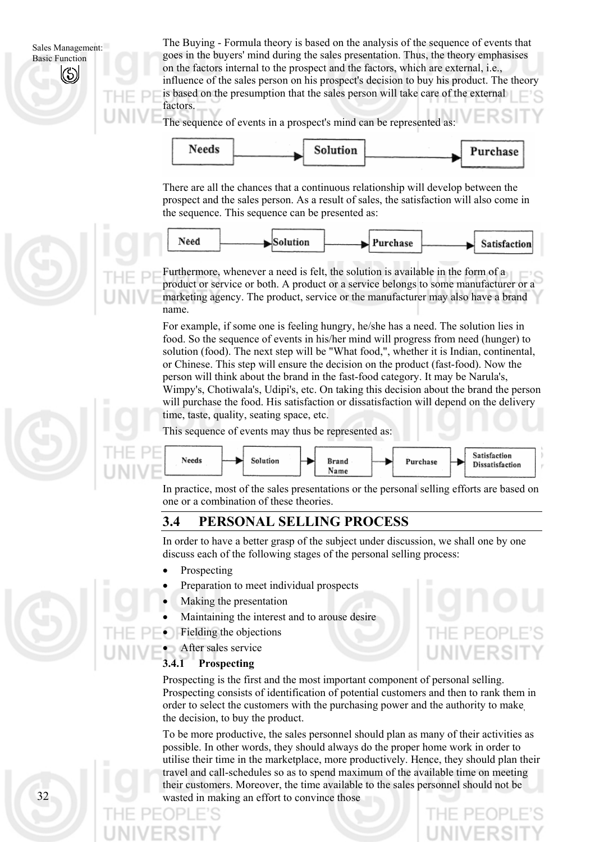32

The Buying - Formula theory is based on the analysis of the sequence of events that goes in the buyers' mind during the sales presentation. Thus, the theory emphasises on the factors internal to the prospect and the factors, which are external, i.e., influence of the sales person on his prospect's decision to buy his product. The theory is based on the presumption that the sales person will take care of the external factors.

The sequence of events in a prospect's mind can be represented as:



There are all the chances that a continuous relationship will develop between the prospect and the sales person. As a result of sales, the satisfaction will also come in the sequence. This sequence can be presented as:



Furthermore, whenever a need is felt, the solution is available in the form of a product or service or both. A product or a service belongs to some manufacturer or a marketing agency. The product, service or the manufacturer may also have a brand name.

For example, if some one is feeling hungry, he/she has a need. The solution lies in food. So the sequence of events in his/her mind will progress from need (hunger) to solution (food). The next step will be "What food,", whether it is Indian, continental, or Chinese. This step will ensure the decision on the product (fast-food). Now the person will think about the brand in the fast-food category. It may be Narula's, Wimpy's, Chotiwala's, Udipi's, etc. On taking this decision about the brand the person will purchase the food. His satisfaction or dissatisfaction will depend on the delivery time, taste, quality, seating space, etc.

This sequence of events may thus be represented as:



In practice, most of the sales presentations or the personal selling efforts are based on one or a combination of these theories.

# **3.4 PERSONAL SELLING PROCESS**

In order to have a better grasp of the subject under discussion, we shall one by one discuss each of the following stages of the personal selling process:

- **Prospecting**
- Preparation to meet individual prospects
- Making the presentation
- Maintaining the interest and to arouse desire
- Fielding the objections
- After sales service

# **3.4.1 Prospecting**

Prospecting is the first and the most important component of personal selling. Prospecting consists of identification of potential customers and then to rank them in order to select the customers with the purchasing power and the authority to make, the decision, to buy the product.

To be more productive, the sales personnel should plan as many of their activities as possible. In other words, they should always do the proper home work in order to utilise their time in the marketplace, more productively. Hence, they should plan their travel and call-schedules so as to spend maximum of the available time on meeting their customers. Moreover, the time available to the sales personnel should not be wasted in making an effort to convince those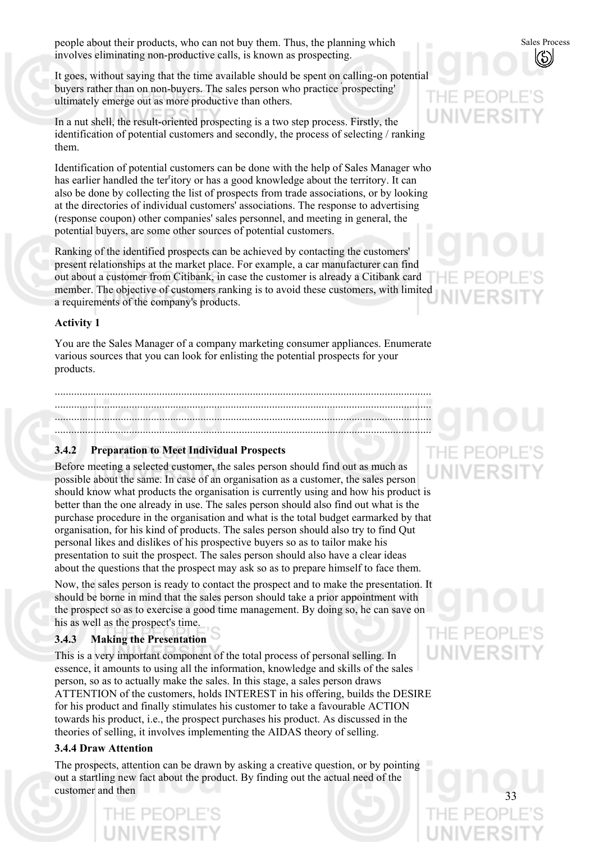people about their products, who can not buy them. Thus, the planning which involves eliminating non-productive calls, is known as prospecting.

It goes, without saying that the time available should be spent on calling-on potential buyers rather than on non-buyers. The sales person who practice ' prospecting' ultimately emerge out as more productive than others.

In a nut shell, the result-oriented prospecting is a two step process. Firstly, the identification of potential customers and secondly, the process of selecting / ranking them.

Identification of potential customers can be done with the help of Sales Manager who has earlier handled the ter<sup>r</sup>itory or has a good knowledge about the territory. It can also be done by collecting the list of prospects from trade associations, or by looking at the directories of individual customers' associations. The response to advertising (response coupon) other companies' sales personnel, and meeting in general, the potential buyers, are some other sources of potential customers.

Ranking of the identified prospects can be achieved by contacting the customers' present relationships at the market place. For example, a car manufacturer can find out about a customer from Citibank, in case the customer is already a Citibank card member. The objective of customers ranking is to avoid these customers, with limited a requirements of the company's products.

# **Activity 1**

You are the Sales Manager of a company marketing consumer appliances. Enumerate various sources that you can look for enlisting the potential prospects for your products.

......................................................................................................................................... ......................................................................................................................................... ......................................................................................................................................... .........................................................................................................................................

# **3.4.2 Preparation to Meet Individual Prospects**

Before meeting a selected customer, the sales person should find out as much as possible about the same. In case of an organisation as a customer, the sales person should know what products the organisation is currently using and how his product is better than the one already in use. The sales person should also find out what is the purchase procedure in the organisation and what is the total budget earmarked by that organisation, for his kind of products. The sales person should also try to find Qut personal likes and dislikes of his prospective buyers so as to tailor make his presentation to suit the prospect. The sales person should also have a clear ideas about the questions that the prospect may ask so as to prepare himself to face them.

Now, the sales person is ready to contact the prospect and to make the presentation. It should be borne in mind that the sales person should take a prior appointment with the prospect so as to exercise a good time management. By doing so, he can save on his as well as the prospect's time.

# **3.4.3 Making the Presentation**

This is a very important component of the total process of personal selling. In essence, it amounts to using all the information, knowledge and skills of the sales person, so as to actually make the sales. In this stage, a sales person draws ATTENTION of the customers, holds INTEREST in his offering, builds the DESIRE for his product and finally stimulates his customer to take a favourable ACTION towards his product, i.e., the prospect purchases his product. As discussed in the theories of selling, it involves implementing the AIDAS theory of selling.

# **3.4.4 Draw Attention**

The prospects, attention can be drawn by asking a creative question, or by pointing out a startling new fact about the product. By finding out the actual need of the customer and then

33

# $P + Q$

# THE PEC UNIVERS

Sales Process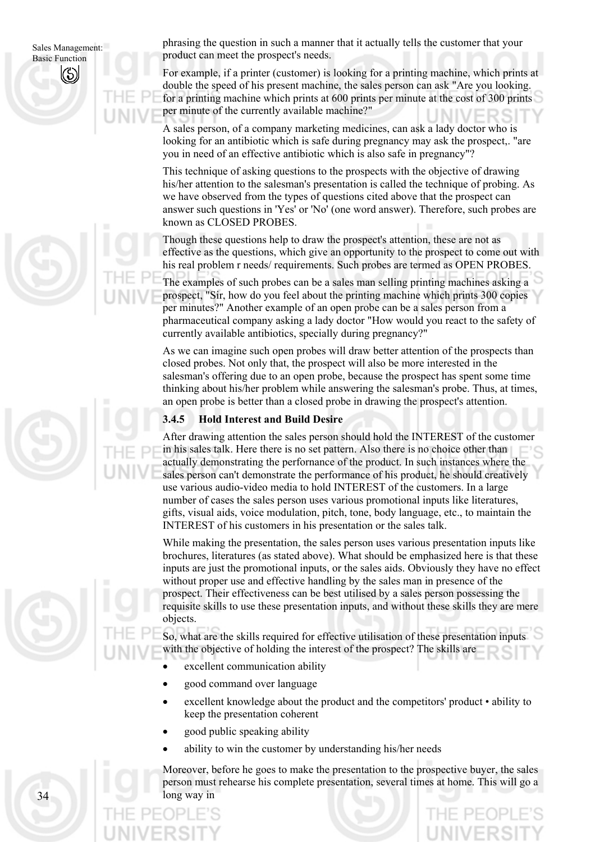phrasing the question in such a manner that it actually tells the customer that your product can meet the prospect's needs.

For example, if a printer (customer) is looking for a printing machine, which prints at double the speed of his present machine, the sales person can ask "Are you looking. for a printing machine which prints at 600 prints per minute at the cost of 300 prints per minute of the currently available machine?"

A sales person, of a company marketing medicines, can ask a lady doctor who is looking for an antibiotic which is safe during pregnancy may ask the prospect,. "are you in need of an effective antibiotic which is also safe in pregnancy"?

This technique of asking questions to the prospects with the objective of drawing his/her attention to the salesman's presentation is called the technique of probing. As we have observed from the types of questions cited above that the prospect can answer such questions in 'Yes' or 'No' (one word answer). Therefore, such probes are known as CLOSED PROBES.

Though these questions help to draw the prospect's attention, these are not as effective as the questions, which give an opportunity to the prospect to come out with his real problem r needs/ requirements. Such probes are termed as OPEN PROBES.

The examples of such probes can be a sales man selling printing machines asking a prospect, "Sir, how do you feel about the printing machine which prints 300 copies per minutes?" Another example of an open probe can be a sales person from a pharmaceutical company asking a lady doctor "How would you react to the safety of currently available antibiotics, specially during pregnancy?"

As we can imagine such open probes will draw better attention of the prospects than closed probes. Not only that, the prospect will also be more interested in the salesman's offering due to an open probe, because the prospect has spent some time thinking about his/her problem while answering the salesman's probe. Thus, at times, an open probe is better than a closed probe in drawing the prospect's attention.

# **3.4.5 Hold Interest and Build Desire**

After drawing attention the sales person should hold the INTEREST of the customer in his sales talk. Here there is no set pattern. Also there is no choice other than actually demonstrating the perfornance of the product. In such instances where the sales person can't demonstrate the performance of his product, he should creatively use various audio-video media to hold INTEREST of the customers. In a large number of cases the sales person uses various promotional inputs like literatures, gifts, visual aids, voice modulation, pitch, tone, body language, etc., to maintain the INTEREST of his customers in his presentation or the sales talk.

While making the presentation, the sales person uses various presentation inputs like brochures, literatures (as stated above). What should be emphasized here is that these inputs are just the promotional inputs, or the sales aids. Obviously they have no effect without proper use and effective handling by the sales man in presence of the prospect. Their effectiveness can be best utilised by a sales person possessing the requisite skills to use these presentation inputs, and without these skills they are mere objects.

So, what are the skills required for effective utilisation of these presentation inputs with the objective of holding the interest of the prospect? The skills are

- excellent communication ability
- good command over language
- excellent knowledge about the product and the competitors' product • ability to keep the presentation coherent
- good public speaking ability
- ability to win the customer by understanding his/her needs

Moreover, before he goes to make the presentation to the prospective buyer, the sales person must rehearse his complete presentation, several times at home. This will go a long way in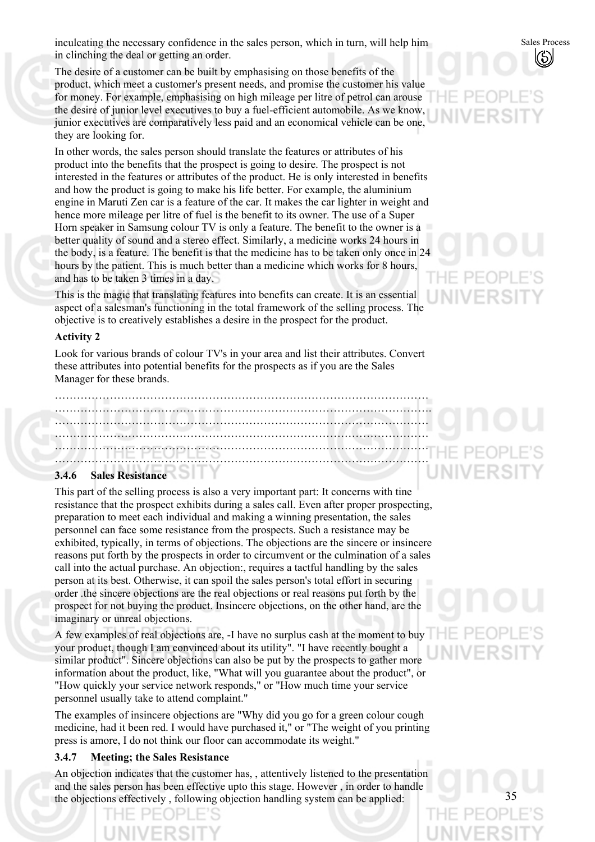inculcating the necessary confidence in the sales person, which in turn, will help him in clinching the deal or getting an order.

The desire of a customer can be built by emphasising on those benefits of the product, which meet a customer's present needs, and promise the customer his value for money. For example, emphasising on high mileage per litre of petrol can arouse the desire of junior level executives to buy a fuel-efficient automobile. As we know, junior executives are comparatively less paid and an economical vehicle can be one, they are looking for.

In other words, the sales person should translate the features or attributes of his product into the benefits that the prospect is going to desire. The prospect is not interested in the features or attributes of the product. He is only interested in benefits and how the product is going to make his life better. For example, the aluminium engine in Maruti Zen car is a feature of the car. It makes the car lighter in weight and hence more mileage per litre of fuel is the benefit to its owner. The use of a Super Horn speaker in Samsung colour TV is only a feature. The benefit to the owner is a better quality of sound and a stereo effect. Similarly, a medicine works 24 hours in the body, is a feature. The benefit is that the medicine has to be taken only once in 24 hours by the patient. This is much better than a medicine which works for 8 hours, and has to be taken 3 times in a day.

This is the magic that translating features into benefits can create. It is an essential aspect of a salesman's functioning in the total framework of the selling process. The objective is to creatively establishes a desire in the prospect for the product.

# **Activity 2**

Look for various brands of colour TV's in your area and list their attributes. Convert these attributes into potential benefits for the prospects as if you are the Sales Manager for these brands.

………………………………………………………………………………………… …………………………………………………………………………………………. ………………………………………………………………………………………… ………………………………………………………………………………………… ………………………………………………………………………………………… …………………………………………………………………………………………

# **3.4.6 Sales Resistance**

This part of the selling process is also a very important part: It concerns with tine resistance that the prospect exhibits during a sales call. Even after proper prospecting, preparation to meet each individual and making a winning presentation, the sales personnel can face some resistance from the prospects. Such a resistance may be exhibited, typically, in terms of objections. The objections are the sincere or insincere reasons put forth by the prospects in order to circumvent or the culmination of a sales call into the actual purchase. An objection:, requires a tactful handling by the sales person at its best. Otherwise, it can spoil the sales person's total effort in securing order .the sincere objections are the real objections or real reasons put forth by the prospect for not buying the product. Insincere objections, on the other hand, are the imaginary or unreal objections.

A few examples of real objections are, -I have no surplus cash at the moment to buy your product, though I am convinced about its utility". "I have recently bought a similar product". Sincere objections can also be put by the prospects to gather more information about the product, like, "What will you guarantee about the product", or "How quickly your service network responds," or "How much time your service personnel usually take to attend complaint."

The examples of insincere objections are "Why did you go for a green colour cough medicine, had it been red. I would have purchased it," or "The weight of you printing press is amore, I do not think our floor can accommodate its weight."

# **3.4.7 Meeting; the Sales Resistance**

An objection indicates that the customer has, , attentively listened to the presentation and the sales person has been effective upto this stage. However , in order to handle the objections effectively , following objection handling system can be applied:

Sales Process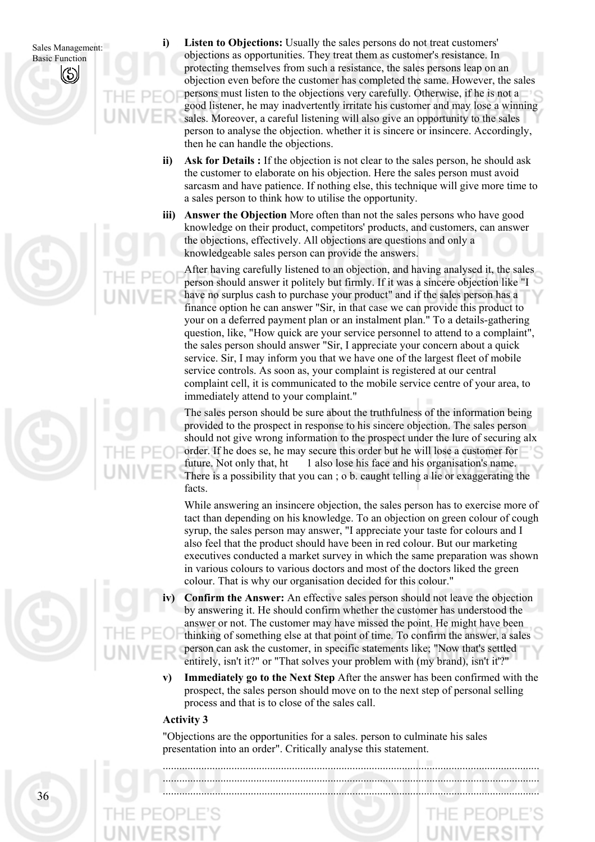**i)**

**Listen to Objections:** Usually the sales persons do not treat customers' objections as opportunities. They treat them as customer's resistance. In protecting themselves from such a resistance, the sales persons leap on an objection even before the customer has completed the same. However, the sales persons must listen to the objections very carefully. Otherwise, if he is not a good listener, he may inadvertently irritate his customer and may lose a winning sales. Moreover, a careful listening will also give an opportunity to the sales person to analyse the objection. whether it is sincere or insincere. Accordingly, then he can handle the objections.

- **ii)** Ask for Details : If the objection is not clear to the sales person, he should ask the customer to elaborate on his objection. Here the sales person must avoid sarcasm and have patience. If nothing else, this technique will give more time to a sales person to think how to utilise the opportunity.
- **iii) Answer the Objection** More often than not the sales persons who have good knowledge on their product, competitors' products, and customers, can answer the objections, effectively. All objections are questions and only a knowledgeable sales person can provide the answers.

After having carefully listened to an objection, and having analysed it, the sales person should answer it politely but firmly. If it was a sincere objection like "I have no surplus cash to purchase your product" and if the sales person has a finance option he can answer "Sir, in that case we can provide this product to your on a deferred payment plan or an instalment plan." To a details-gathering question, like, "How quick are your service personnel to attend to a complaint", the sales person should answer "Sir, I appreciate your concern about a quick service. Sir, I may inform you that we have one of the largest fleet of mobile service controls. As soon as, your complaint is registered at our central complaint cell, it is communicated to the mobile service centre of your area, to immediately attend to your complaint."

The sales person should be sure about the truthfulness of the information being provided to the prospect in response to his sincere objection. The sales person should not give wrong information to the prospect under the lure of securing alx order. If he does se, he may secure this order but he will lose a customer for future. Not only that, ht 1 also lose his face and his organisation's name. There is a possibility that you can ; o b. caught telling a lie or exaggerating the facts.

While answering an insincere objection, the sales person has to exercise more of tact than depending on his knowledge. To an objection on green colour of cough syrup, the sales person may answer, "I appreciate your taste for colours and I also feel that the product should have been in red colour. But our marketing executives conducted a market survey in which the same preparation was shown in various colours to various doctors and most of the doctors liked the green colour. That is why our organisation decided for this colour."

- **iv) Confirm the Answer:** An effective sales person should not leave the objection by answering it. He should confirm whether the customer has understood the answer or not. The customer may have missed the point. He might have been thinking of something else at that point of time. To confirm the answer, a sales person can ask the customer, in specific statements like; "Now that's settled entirely, isn't it?" or "That solves your problem with (my brand), isn't it'?"
- **v) Immediately go to the Next Step** After the answer has been confirmed with the prospect, the sales person should move on to the next step of personal selling process and that is to close of the sales call.

.........................................................................................................................................

.........................................................................................................................................

.........................................................................................................................................

# **Activity 3**

"Objections are the opportunities for a sales. person to culminate his sales presentation into an order". Critically analyse this statement.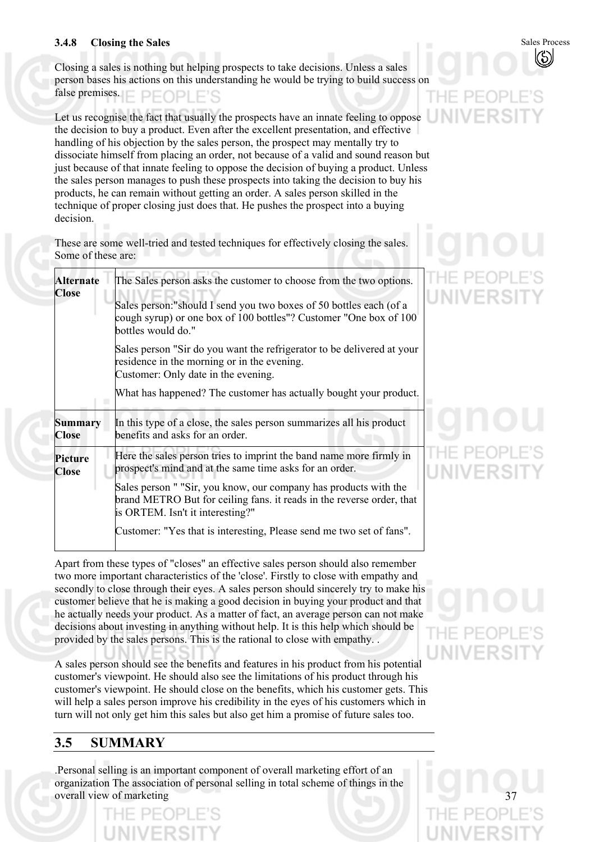# **3.4.8 Closing the Sales**

Closing a sales is nothing but helping prospects to take decisions. Unless a sales person bases his actions on this understanding he would be trying to build success on false premises.

Let us recognise the fact that usually the prospects have an innate feeling to oppose the decision to buy a product. Even after the excellent presentation, and effective handling of his objection by the sales person, the prospect may mentally try to dissociate himself from placing an order, not because of a valid and sound reason but just because of that innate feeling to oppose the decision of buying a product. Unless the sales person manages to push these prospects into taking the decision to buy his products, he can remain without getting an order. A sales person skilled in the technique of proper closing just does that. He pushes the prospect into a buying decision.

These are some well-tried and tested techniques for effectively closing the sales. Some of these are:

| <b>Alternate</b><br><b>Close</b> | The Sales person asks the customer to choose from the two options.<br>Sales person: "should I send you two boxes of 50 bottles each (of a<br>cough syrup) or one box of 100 bottles"? Customer "One box of 100<br>bottles would do."<br>Sales person "Sir do you want the refrigerator to be delivered at your<br>residence in the morning or in the evening.<br>Customer: Only date in the evening.<br>What has happened? The customer has actually bought your product. |  |
|----------------------------------|---------------------------------------------------------------------------------------------------------------------------------------------------------------------------------------------------------------------------------------------------------------------------------------------------------------------------------------------------------------------------------------------------------------------------------------------------------------------------|--|
| <b>Summary</b><br><b>Close</b>   | In this type of a close, the sales person summarizes all his product<br>benefits and asks for an order.                                                                                                                                                                                                                                                                                                                                                                   |  |
| <b>Picture</b><br><b>Close</b>   | Here the sales person tries to imprint the band name more firmly in<br>prospect's mind and at the same time asks for an order.                                                                                                                                                                                                                                                                                                                                            |  |
|                                  | Sales person " "Sir, you know, our company has products with the<br>brand METRO But for ceiling fans. it reads in the reverse order, that<br>is ORTEM. Isn't it interesting?"                                                                                                                                                                                                                                                                                             |  |
|                                  | Customer: "Yes that is interesting, Please send me two set of fans".                                                                                                                                                                                                                                                                                                                                                                                                      |  |

Apart from these types of "closes" an effective sales person should also remember two more important characteristics of the 'close'. Firstly to close with empathy and secondly to close through their eyes. A sales person should sincerely try to make his customer believe that he is making a good decision in buying your product and that he actually needs your product. As a matter of fact, an average person can not make decisions about investing in anything without help. It is this help which should be provided by the sales persons. This is the rational to close with empathy. .

A sales person should see the benefits and features in his product from his potential customer's viewpoint. He should also see the limitations of his product through his customer's viewpoint. He should close on the benefits, which his customer gets. This will help a sales person improve his credibility in the eyes of his customers which in turn will not only get him this sales but also get him a promise of future sales too.

# **3.5 SUMMARY**

.Personal selling is an important component of overall marketing effort of an organization The association of personal selling in total scheme of things in the overall view of marketing

37

Sales Process (S)